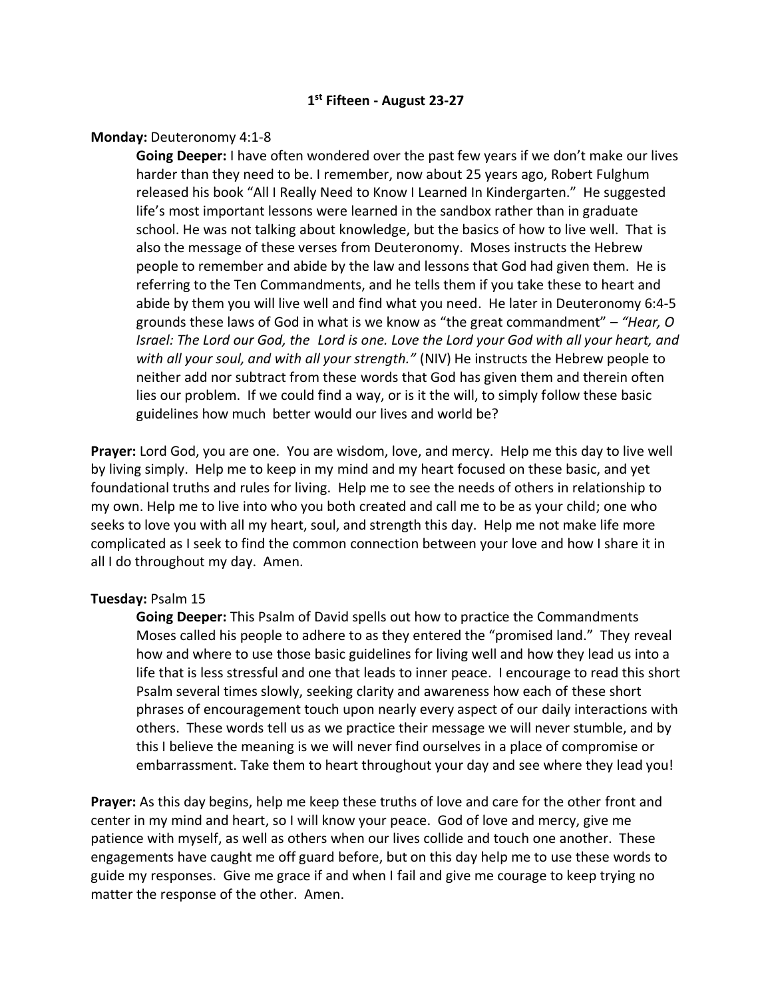# **1 st Fifteen - August 23-27**

#### **Monday:** Deuteronomy 4:1-8

**Going Deeper:** I have often wondered over the past few years if we don't make our lives harder than they need to be. I remember, now about 25 years ago, Robert Fulghum released his book "All I Really Need to Know I Learned In Kindergarten." He suggested life's most important lessons were learned in the sandbox rather than in graduate school. He was not talking about knowledge, but the basics of how to live well. That is also the message of these verses from Deuteronomy. Moses instructs the Hebrew people to remember and abide by the law and lessons that God had given them. He is referring to the Ten Commandments, and he tells them if you take these to heart and abide by them you will live well and find what you need. He later in Deuteronomy 6:4-5 grounds these laws of God in what is we know as "the great commandment" – *"Hear, O Israel: The Lord our God, the Lord is one. Love the Lord your God with all your heart, and with all your soul, and with all your strength."* (NIV) He instructs the Hebrew people to neither add nor subtract from these words that God has given them and therein often lies our problem. If we could find a way, or is it the will, to simply follow these basic guidelines how much better would our lives and world be?

**Prayer:** Lord God, you are one. You are wisdom, love, and mercy. Help me this day to live well by living simply. Help me to keep in my mind and my heart focused on these basic, and yet foundational truths and rules for living. Help me to see the needs of others in relationship to my own. Help me to live into who you both created and call me to be as your child; one who seeks to love you with all my heart, soul, and strength this day. Help me not make life more complicated as I seek to find the common connection between your love and how I share it in all I do throughout my day. Amen.

#### **Tuesday:** Psalm 15

**Going Deeper:** This Psalm of David spells out how to practice the Commandments Moses called his people to adhere to as they entered the "promised land." They reveal how and where to use those basic guidelines for living well and how they lead us into a life that is less stressful and one that leads to inner peace. I encourage to read this short Psalm several times slowly, seeking clarity and awareness how each of these short phrases of encouragement touch upon nearly every aspect of our daily interactions with others. These words tell us as we practice their message we will never stumble, and by this I believe the meaning is we will never find ourselves in a place of compromise or embarrassment. Take them to heart throughout your day and see where they lead you!

**Prayer:** As this day begins, help me keep these truths of love and care for the other front and center in my mind and heart, so I will know your peace. God of love and mercy, give me patience with myself, as well as others when our lives collide and touch one another. These engagements have caught me off guard before, but on this day help me to use these words to guide my responses. Give me grace if and when I fail and give me courage to keep trying no matter the response of the other. Amen.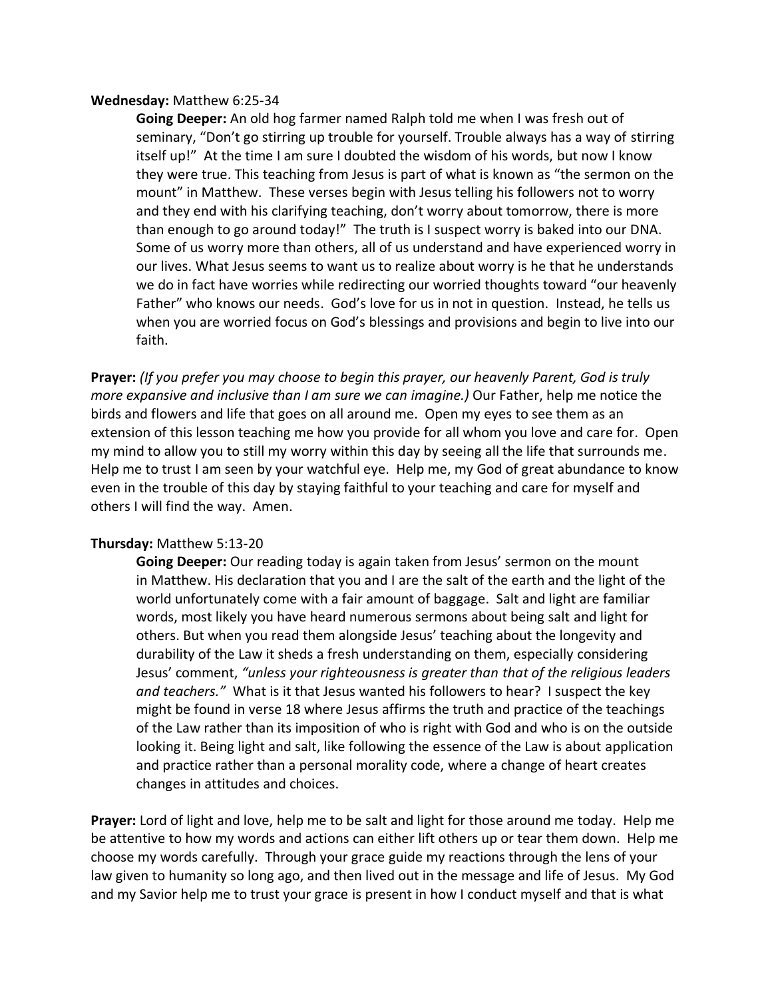### **Wednesday:** Matthew 6:25-34

**Going Deeper:** An old hog farmer named Ralph told me when I was fresh out of seminary, "Don't go stirring up trouble for yourself. Trouble always has a way of stirring itself up!" At the time I am sure I doubted the wisdom of his words, but now I know they were true. This teaching from Jesus is part of what is known as "the sermon on the mount" in Matthew. These verses begin with Jesus telling his followers not to worry and they end with his clarifying teaching, don't worry about tomorrow, there is more than enough to go around today!" The truth is I suspect worry is baked into our DNA. Some of us worry more than others, all of us understand and have experienced worry in our lives. What Jesus seems to want us to realize about worry is he that he understands we do in fact have worries while redirecting our worried thoughts toward "our heavenly Father" who knows our needs. God's love for us in not in question. Instead, he tells us when you are worried focus on God's blessings and provisions and begin to live into our faith.

**Prayer:** *(If you prefer you may choose to begin this prayer, our heavenly Parent, God is truly more expansive and inclusive than I am sure we can imagine.)* Our Father, help me notice the birds and flowers and life that goes on all around me. Open my eyes to see them as an extension of this lesson teaching me how you provide for all whom you love and care for. Open my mind to allow you to still my worry within this day by seeing all the life that surrounds me. Help me to trust I am seen by your watchful eye. Help me, my God of great abundance to know even in the trouble of this day by staying faithful to your teaching and care for myself and others I will find the way. Amen.

## **Thursday:** Matthew 5:13-20

**Going Deeper:** Our reading today is again taken from Jesus' sermon on the mount in Matthew. His declaration that you and I are the salt of the earth and the light of the world unfortunately come with a fair amount of baggage. Salt and light are familiar words, most likely you have heard numerous sermons about being salt and light for others. But when you read them alongside Jesus' teaching about the longevity and durability of the Law it sheds a fresh understanding on them, especially considering Jesus' comment, *"unless your righteousness is greater than that of the religious leaders and teachers."* What is it that Jesus wanted his followers to hear? I suspect the key might be found in verse 18 where Jesus affirms the truth and practice of the teachings of the Law rather than its imposition of who is right with God and who is on the outside looking it. Being light and salt, like following the essence of the Law is about application and practice rather than a personal morality code, where a change of heart creates changes in attitudes and choices.

**Prayer:** Lord of light and love, help me to be salt and light for those around me today. Help me be attentive to how my words and actions can either lift others up or tear them down. Help me choose my words carefully. Through your grace guide my reactions through the lens of your law given to humanity so long ago, and then lived out in the message and life of Jesus. My God and my Savior help me to trust your grace is present in how I conduct myself and that is what